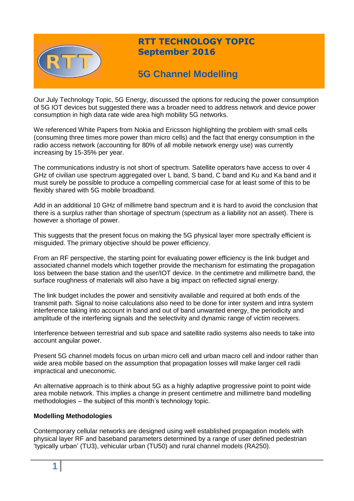

## **RTT TECHNOLOGY TOPIC September 2016**

# **5G Channel Modelling**

Our July Technology Topic, 5G Energy, discussed the options for reducing the power consumption of 5G IOT devices but suggested there was a broader need to address network and device power consumption in high data rate wide area high mobility 5G networks.

We referenced White Papers from Nokia and Ericsson highlighting the problem with small cells (consuming three times more power than micro cells) and the fact that energy consumption in the radio access network (accounting for 80% of all mobile network energy use) was currently increasing by 15-35% per year.

The communications industry is not short of spectrum. Satellite operators have access to over 4 GHz of civilian use spectrum aggregated over L band, S band, C band and Ku and Ka band and it must surely be possible to produce a compelling commercial case for at least some of this to be flexibly shared with 5G mobile broadband.

Add in an additional 10 GHz of millimetre band spectrum and it is hard to avoid the conclusion that there is a surplus rather than shortage of spectrum (spectrum as a liability not an asset). There is however a shortage of power.

This suggests that the present focus on making the 5G physical layer more spectrally efficient is misguided. The primary objective should be power efficiency.

From an RF perspective, the starting point for evaluating power efficiency is the link budget and associated channel models which together provide the mechanism for estimating the propagation loss between the base station and the user/IOT device. In the centimetre and millimetre band, the surface roughness of materials will also have a big impact on reflected signal energy.

The link budget includes the power and sensitivity available and required at both ends of the transmit path. Signal to noise calculations also need to be done for inter system and intra system interference taking into account in band and out of band unwanted energy, the periodicity and amplitude of the interfering signals and the selectivity and dynamic range of victim receivers.

Interference between terrestrial and sub space and satellite radio systems also needs to take into account angular power.

Present 5G channel models focus on urban micro cell and urban macro cell and indoor rather than wide area mobile based on the assumption that propagation losses will make larger cell radii impractical and uneconomic.

An alternative approach is to think about 5G as a highly adaptive progressive point to point wide area mobile network. This implies a change in present centimetre and millimetre band modelling methodologies – the subject of this month's technology topic.

## **Modelling Methodologies**

Contemporary cellular networks are designed using well established propagation models with physical layer RF and baseband parameters determined by a range of user defined pedestrian 'typically urban' (TU3), vehicular urban (TU50) and rural channel models (RA250).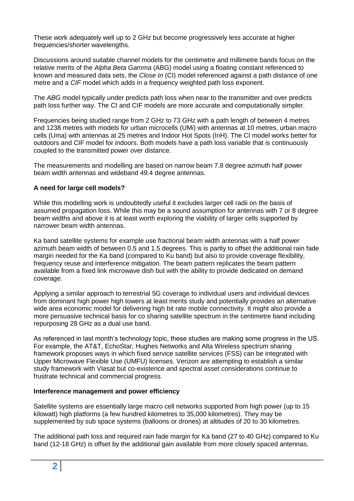These work adequately well up to 2 GHz but become progressively less accurate at higher frequencies/shorter wavelengths.

Discussions around suitable channel models for the centimetre and millimetre bands focus on the relative merits of the *Alpha Beta Gamma* (ABG) model using a floating constant referenced to known and measured data sets, the *Close In* (CI) model referenced against a path distance of one metre and a *CIF* model which adds in a frequency weighted path loss exponent.

The *ABG* model typically under predicts path loss when near to the transmitter and over predicts path loss further way. The CI and CIF models are more accurate and computationally simpler.

Frequencies being studied range from 2 GHz to 73 GHz with a path length of between 4 metres and 1238 metres with models for urban microcells (UMi) with antennas at 10 metres, urban macro cells (Uma) with antennas at 25 metres and Indoor Hot Spots (InH). The CI model works better for outdoors and CIF model for indoors. Both models have a path loss variable that is continuously coupled to the transmitted power over distance.

The measurements and modelling are based on narrow beam 7.8 degree azimuth half power beam width antennas and wideband 49.4 degree antennas.

### **A need for large cell models?**

While this modelling work is undoubtedly useful it excludes larger cell radii on the basis of assumed propagation loss. While this may be a sound assumption for antennas with 7 or 8 degree beam widths and above it is at least worth exploring the viability of larger cells supported by narrower beam width antennas.

Ka band satellite systems for example use fractional beam width antennas with a half power azimuth beam width of between 0.5 and 1.5 degrees. This is partly to offset the additional rain fade margin needed for the Ka band (compared to Ku band) but also to provide coverage flexibility, frequency reuse and interference mitigation. The beam pattern replicates the beam pattern available from a fixed link microwave dish but with the ability to provide dedicated on demand coverage.

Applying a similar approach to terrestrial 5G coverage to individual users and individual devices from dominant high power high towers at least merits study and potentially provides an alternative wide area economic model for delivering high bit rate mobile connectivity. It might also provide a more persuasive technical basis for co sharing satellite spectrum in the centimetre band including repurposing 28 GHz as a dual use band.

As referenced in last month's technology topic, these studies are making some progress in the US. For example, the AT&T, EchoStar, Hughes Networks and Alta Wireless spectrum sharing framework proposes ways in which fixed service satellite services (FSS) can be integrated with Upper Microwave Flexible Use (UMFU) licenses. Verizon are attempting to establish a similar study framework with Viasat but co-existence and spectral asset considerations continue to frustrate technical and commercial progress.

#### **Interference management and power efficiency**

Satellite systems are essentially large macro cell networks supported from high power (up to 15 kilowatt) high platforms (a few hundred kilometres to 35,000 kilometres). They may be supplemented by sub space systems (balloons or drones) at altitudes of 20 to 30 kilometres.

The additional path loss and required rain fade margin for Ka band (27 to 40 GHz) compared to Ku band (12-18 GHz) is offset by the additional gain available from more closely spaced antennas.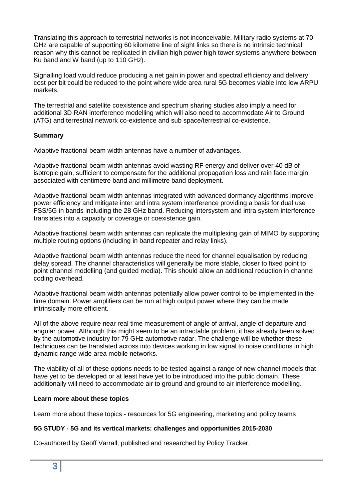Translating this approach to terrestrial networks is not inconceivable. Military radio systems at 70 GHz are capable of supporting 60 kilometre line of sight links so there is no intrinsic technical reason why this cannot be replicated in civilian high power high tower systems anywhere between Ku band and W band (up to 110 GHz).

Signalling load would reduce producing a net gain in power and spectral efficiency and delivery cost per bit could be reduced to the point where wide area rural 5G becomes viable into low ARPU markets.

The terrestrial and satellite coexistence and spectrum sharing studies also imply a need for additional 3D RAN interference modelling which will also need to accommodate Air to Ground (ATG) and terrestrial network co-existence and sub space/terrestrial co-existence.

## **Summary**

Adaptive fractional beam width antennas have a number of advantages.

Adaptive fractional beam width antennas avoid wasting RF energy and deliver over 40 dB of isotropic gain, sufficient to compensate for the additional propagation loss and rain fade margin associated with centimetre band and millimetre band deployment.

Adaptive fractional beam width antennas integrated with advanced dormancy algorithms improve power efficiency and mitigate inter and intra system interference providing a basis for dual use FSS/5G in bands including the 28 GHz band. Reducing intersystem and intra system interference translates into a capacity or coverage or coexistence gain.

Adaptive fractional beam width antennas can replicate the multiplexing gain of MIMO by supporting multiple routing options (including in band repeater and relay links).

Adaptive fractional beam width antennas reduce the need for channel equalisation by reducing delay spread. The channel characteristics will generally be more stable, closer to fixed point to point channel modelling (and guided media). This should allow an additional reduction in channel coding overhead.

Adaptive fractional beam width antennas potentially allow power control to be implemented in the time domain. Power amplifiers can be run at high output power where they can be made intrinsically more efficient.

All of the above require near real time measurement of angle of arrival, angle of departure and angular power. Although this might seem to be an intractable problem, it has already been solved by the automotive industry for 79 GHz automotive radar. The challenge will be whether these techniques can be translated across into devices working in low signal to noise conditions in high dynamic range wide area mobile networks.

The viability of all of these options needs to be tested against a range of new channel models that have yet to be developed or at least have yet to be introduced into the public domain. These additionally will need to accommodate air to ground and ground to air interference modelling.

### **Learn more about these topics**

Learn more about these topics - resources for 5G engineering, marketing and policy teams

### **5G STUDY - 5G and its vertical markets: challenges and opportunities 2015-2030**

Co-authored by Geoff Varrall, published and researched by Policy Tracker.